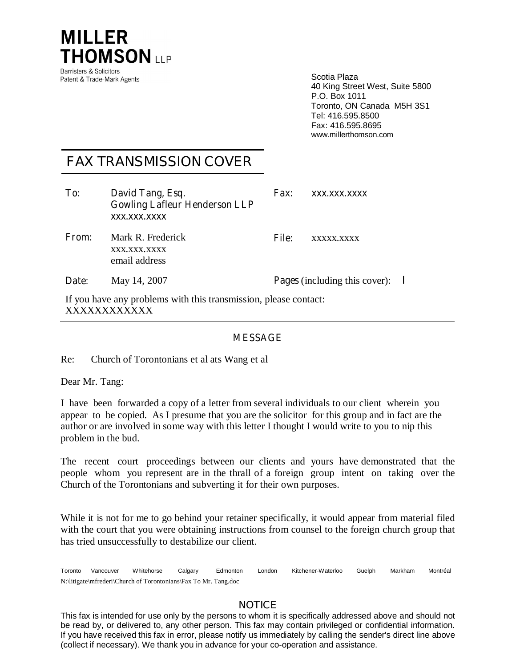

Scotia Plaza 40 King Street West, Suite 5800 P.O. Box 1011 Toronto, ON Canada M5H 3S1 Tel: 416.595.8500 Fax: 416.595.8695 www.millerthomson.com

## **FAX TRANSMISSION COVER**

| To:          | David Tang, Esq.<br><b>Gowling Lafleur Henderson LLP</b><br>XXX.XXX.XXXX | <b>Fax:</b>  | XXX.XXX.XXXX                         |  |
|--------------|--------------------------------------------------------------------------|--------------|--------------------------------------|--|
| <b>From:</b> | Mark R. Frederick<br>XXX.XXX.XXXX<br>email address                       | <b>File:</b> | XXXXX.XXXX                           |  |
| Date:        | May 14, 2007                                                             |              | <b>Pages</b> (including this cover): |  |
|              | If you have any problems with this transmission, please contact:         |              |                                      |  |

xxxxxxxxxxx

## **MESSAGE**

Re: Church of Torontonians et al ats Wang et al

Dear Mr. Tang:

I have been forwarded a copy of a letter from several individuals to our client wherein you appear to be copied. As I presume that you are the solicitor for this group and in fact are the author or are involved in some way with this letter I thought I would write to you to nip this problem in the bud.

The recent court proceedings between our clients and yours have demonstrated that the people whom you represent are in the thrall of a foreign group intent on taking over the Church of the Torontonians and subverting it for their own purposes.

While it is not for me to go behind your retainer specifically, it would appear from material filed with the court that you were obtaining instructions from counsel to the foreign church group that has tried unsuccessfully to destabilize our client.

Toronto Vancouver Whitehorse Calgary Edmonton London Kitchener-Waterloo Guelph Markham Montréal  $\mathcal{L}$ N:\litigate\mfrederi\Church of Torontonians\Fax To Mr. Tang.doc

## **NOTICE**

This fax is intended for use only by the persons to whom it is specifically addressed above and should not be read by, or delivered to, any other person. This fax may contain privileged or confidential information. If you have received this fax in error, please notify us immediately by calling the sender's direct line above (collect if necessary). We thank you in advance for your co-operation and assistance.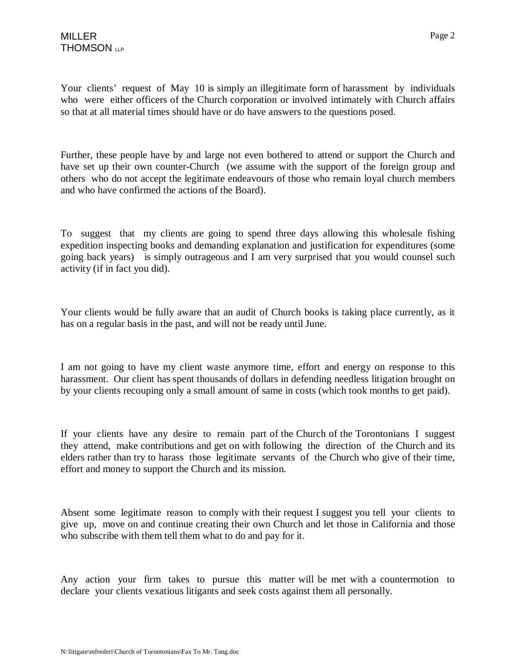Your clients' request of May 10 is simply an illegitimate form of harassment by individuals who were either officers of the Church corporation or involved intimately with Church affairs so that at all material times should have or do have answers to the questions posed.

Further, these people have by and large not even bothered to attend or support the Church and have set up their own counter-Church (we assume with the support of the foreign group and others who do not accept the legitimate endeavours of those who remain loyal church members and who have confirmed the actions of the Board).

To suggest that my clients are going to spend three days allowing this wholesale fishing expedition inspecting books and demanding explanation and justification for expenditures (some going back years) is simply outrageous and I am very surprised that you would counsel such activity (if in fact you did).

Your clients would be fully aware that an audit of Church books is taking place currently, as it has on a regular basis in the past, and will not be ready until June.

I am not going to have my client waste anymore time, effort and energy on response to this harassment. Our client has spent thousands of dollars in defending needless litigation brought on by your clients recouping only a small amount of same in costs (which took months to get paid).

If your clients have any desire to remain part of the Church of the Torontonians I suggest they attend, make contributions and get on with following the direction of the Church and its elders rather than try to harass those legitimate servants of the Church who give of their time, effort and money to support the Church and its mission.

Absent some legitimate reason to comply with their request I suggest you tell your clients to give up, move on and continue creating their own Church and let those in California and those who subscribe with them tell them what to do and pay for it.

Any action your firm takes to pursue this matter will be met with a countermotion to declare your clients vexatious litigants and seek costs against them all personally.